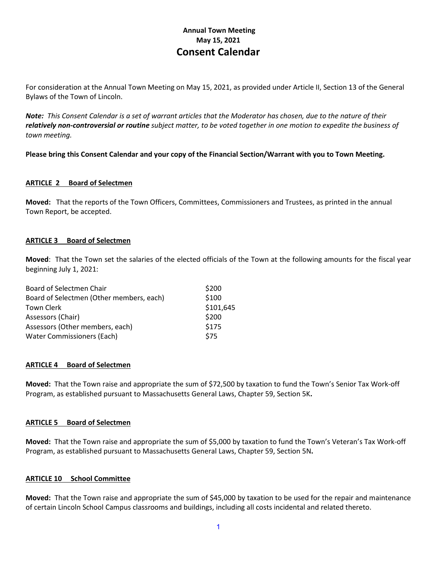# **Annual Town Meeting May 15, 2021 Consent Calendar**

For consideration at the Annual Town Meeting on May 15, 2021, as provided under Article II, Section 13 of the General Bylaws of the Town of Lincoln.

*Note: This Consent Calendar is a set of warrant articles that the Moderator has chosen, due to the nature of their relatively non-controversial or routine subject matter, to be voted together in one motion to expedite the business of town meeting.*

**Please bring this Consent Calendar and your copy of the Financial Section/Warrant with you to Town Meeting.**

## **ARTICLE 2 Board of Selectmen**

**Moved:** That the reports of the Town Officers, Committees, Commissioners and Trustees, as printed in the annual Town Report, be accepted.

## **ARTICLE 3 Board of Selectmen**

**Moved**: That the Town set the salaries of the elected officials of the Town at the following amounts for the fiscal year beginning July 1, 2021:

| Board of Selectmen Chair                 | \$200     |
|------------------------------------------|-----------|
| Board of Selectmen (Other members, each) | \$100     |
| <b>Town Clerk</b>                        | \$101,645 |
| Assessors (Chair)                        | \$200     |
| Assessors (Other members, each)          | \$175     |
| <b>Water Commissioners (Each)</b>        | \$75      |
|                                          |           |

#### **ARTICLE 4 Board of Selectmen**

**Moved:** That the Town raise and appropriate the sum of \$72,500 by taxation to fund the Town's Senior Tax Work-off Program, as established pursuant to Massachusetts General Laws, Chapter 59, Section 5K**.**

#### **ARTICLE 5 Board of Selectmen**

**Moved:** That the Town raise and appropriate the sum of \$5,000 by taxation to fund the Town's Veteran's Tax Work-off Program, as established pursuant to Massachusetts General Laws, Chapter 59, Section 5N**.**

#### **ARTICLE 10 School Committee**

**Moved:** That the Town raise and appropriate the sum of \$45,000 by taxation to be used for the repair and maintenance of certain Lincoln School Campus classrooms and buildings, including all costs incidental and related thereto.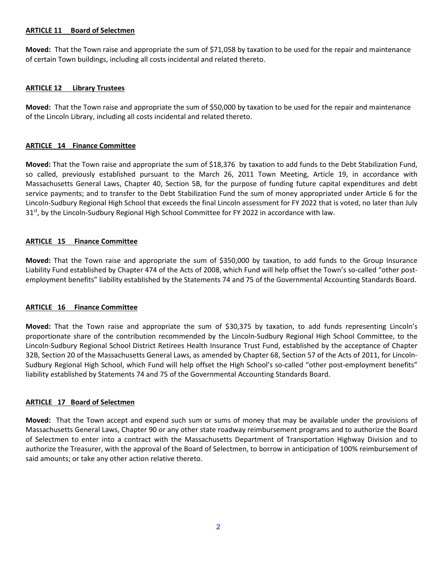## **ARTICLE 11 Board of Selectmen**

**Moved:** That the Town raise and appropriate the sum of \$71,058 by taxation to be used for the repair and maintenance of certain Town buildings, including all costs incidental and related thereto.

## **ARTICLE 12 Library Trustees**

**Moved:** That the Town raise and appropriate the sum of \$50,000 by taxation to be used for the repair and maintenance of the Lincoln Library, including all costs incidental and related thereto.

## **ARTICLE 14 Finance Committee**

**Moved:** That the Town raise and appropriate the sum of \$18,376 by taxation to add funds to the Debt Stabilization Fund, so called, previously established pursuant to the March 26, 2011 Town Meeting, Article 19, in accordance with Massachusetts General Laws, Chapter 40, Section 5B, for the purpose of funding future capital expenditures and debt service payments; and to transfer to the Debt Stabilization Fund the sum of money appropriated under Article 6 for the Lincoln-Sudbury Regional High School that exceeds the final Lincoln assessment for FY 2022 that is voted, no later than July 31<sup>st</sup>, by the Lincoln-Sudbury Regional High School Committee for FY 2022 in accordance with law.

## **ARTICLE 15 Finance Committee**

**Moved:** That the Town raise and appropriate the sum of \$350,000 by taxation, to add funds to the Group Insurance Liability Fund established by Chapter 474 of the Acts of 2008, which Fund will help offset the Town's so-called "other postemployment benefits" liability established by the Statements 74 and 75 of the Governmental Accounting Standards Board.

#### **ARTICLE 16 Finance Committee**

**Moved:** That the Town raise and appropriate the sum of \$30,375 by taxation, to add funds representing Lincoln's proportionate share of the contribution recommended by the Lincoln-Sudbury Regional High School Committee, to the Lincoln-Sudbury Regional School District Retirees Health Insurance Trust Fund, established by the acceptance of Chapter 32B, Section 20 of the Massachusetts General Laws, as amended by Chapter 68, Section 57 of the Acts of 2011, for Lincoln-Sudbury Regional High School, which Fund will help offset the High School's so-called "other post-employment benefits" liability established by Statements 74 and 75 of the Governmental Accounting Standards Board.

# **ARTICLE 17 Board of Selectmen**

**Moved:** That the Town accept and expend such sum or sums of money that may be available under the provisions of Massachusetts General Laws, Chapter 90 or any other state roadway reimbursement programs and to authorize the Board of Selectmen to enter into a contract with the Massachusetts Department of Transportation Highway Division and to authorize the Treasurer, with the approval of the Board of Selectmen, to borrow in anticipation of 100% reimbursement of said amounts; or take any other action relative thereto.